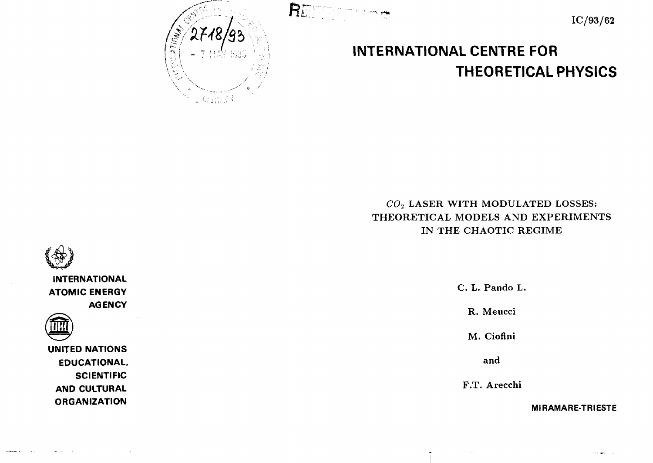



IC/93/62

# **INTERNATIONAL CENTRE FOR THEORETICAL PHYSICS**

## *CO2* LASER WITH MODULATED LOSSES: THEORETICAL MODELS AND EXPERIMENTS IN THE CHAOTIC REGIME



R. Meucci

M. Cioflni

and

F.T. Arecchi

**MIRAMARE-TRIESTE**



**INTERNATIONAL ATOMIC ENERGY AGENCY**



**UNITED NATIONS EDUCATIONAL, SCIENTIFIC AND CULTURAL ORGANIZATION**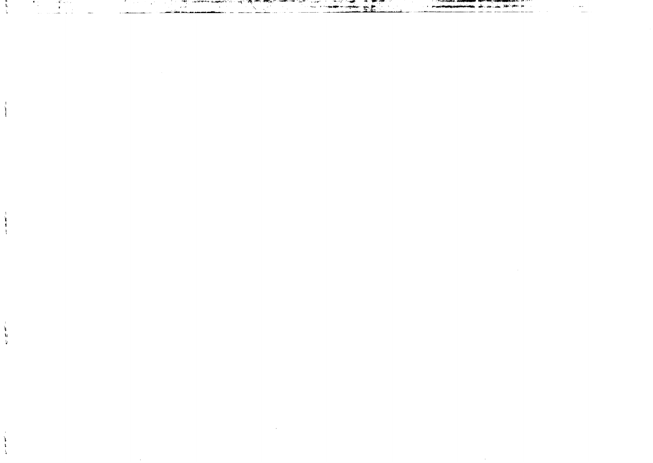e e e construir de la construir de la construir de la construir de la construir de la construir de la construir<br>Les produit de la construir de la construir de la construir de la construir de la construir de la construir de  $\frac{1}{\sqrt{2\pi}}\frac{1}{\sqrt{2\pi}}\left(\frac{1}{\sqrt{2\pi}}\right)^{2}$  $\frac{1}{2}$  $\frac{1}{2}$  $\begin{array}{c} \mathbf{k} \\ \mathbf{k} \end{array}$  $\sim 100$  $\begin{array}{c} \mathbf{y} \\ \mathbf{y} \\ \mathbf{y} \end{array}$ 

 $\sim 10^7$ 

 $\sim 10^6$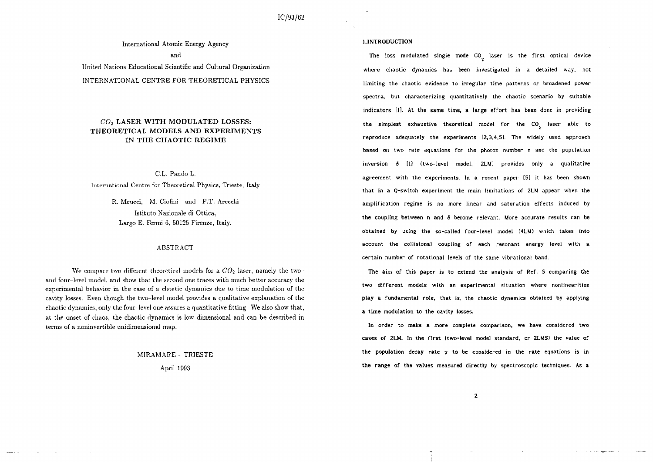#### IC/93/62

### International Atomic Energy Agency and United Nations Educational Scientific and Cultural Organization INTERNATIONAL CENTRE FOR THEORETICAL PHYSICS

#### *CO2* **LASER WITH MODULATED LOSSES: THEORETICAL MODELS AND EXPERIMENTS IN THE CHAOTIC REGIME**

C.L. Pando L. International Centre for Theoretical Physics, Trieste, Italy

> R. Meucci, M. Ciofini and F.T. Arecchi Istituto Nazionale di Ottica, Largo E. Fermi 6, 50125 Firenze, Italy.

#### ABSTRACT

We compare two different theoretical models for a *CO2* laser, namely the twoand four-level model, and show that the second one traces with much better accuracy the experimental behavior in the case of a choatic dynamics due to time modulation of the cavity losses. Even though the two-level model provides a qualitative explanation of the chaotic dynamics, only the four-level one assures a quantitative fitting. We also show that, at the onset of chaos, the chaotic dynamics is low dimensional and can be described in terms of a noninvertible unidimensional map.

> MIRAMARE - TRIESTE April 1993

#### 1.INTRODUCT1ON

The loss modulated single mode  $CO<sub>2</sub>$  laser is the first optical device where chaotic dynamics has been investigated in a detailed way, not limiting the chaotic evidence to irregular time patterns or broadened power spectra, but characterizing quantitatively the chaotic scenario by suitable indicators III. At the same time, a large effort has been done in providing the simplest exhaustive theoretical model for the CO<sub>2</sub> laser able to reproduce adequately the experiments 12,3,4,5], The widely used approach based on two rate equations for the photon number n and the population inversion *S* [l! (two-level model, 2LM) provides only a qualitative agreement with the experiments. In a recent paper (5) it has been shown that in a Q-switch experiment the main limitations of 2LM appear when the amplification regime is no more linear and saturation effects induced by the coupling between n and *S* become relevant. More accurate results can be obtained by using the so-called four-level model (4LH) which takes into account the collisional coupling of each resonant energy level with a certain number of rotational levels of the same vibrationa! band.

The aim of this paper is to extend the analysis of Ref. S comparing the two different models with an experimental situation where nonlinearities play a fundamental role, that is, the chaotic dynamics obtained by applying a time modulation to the cavity losses.

In order to make a more complete comparison, we have considered two cases of 2LM. In the first (two-level model standard, or 2LMS) the value of the population decay rate  $\gamma$  to be considered in the rate equations is in the range of the values measured directly by spectroscopic techniques. As a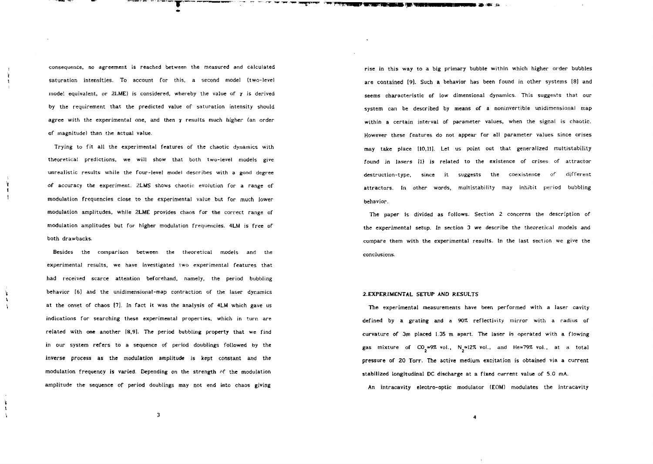consequence, no agreement is reached between the measured and calculated saturation intensities. To account for this, a second model (two-level model equivalent, or 2LME) is considered, whereby the value of  $\tau$  is derived by the requirement that the predicted value of saturation intensity should agree with the experimental one, and then *f* results much higher (an order of magnitudel than the actual value.

Trying to fit all the experimental features of the chaotic dynamics with theoretical predictions, we will show that both two-level models give unrealistic results while the four-level model describes with a good degree of accuracy the experiment. ZLMS shows chaotic evolution for a range of modulation frequencies close to the experimental value but for much lower modulation amplitudes, while 2LME provides chaos for the correct range of modulation amplitudes but for higher modulation frequencies. 4LM is free of both drawbacks.

Besides the comparison between the theoretical models and the experimental results, we have investigated two experimental features that had received scarce attention beforehand, namely, the period bubbling behavior [6] and the unidimensional-map contraction of the laser dynamics at the onset of chaos (71. In fact it was the analysis of 4LM which gave us indications for searching these experimental properties, which in turn are related with one another |8,9|. The period bubbling property that we find in our system refers to a sequence of period doublings followed by the inverse process as the modulation amplitude is kept constant and the modulation frequency is varied. Depending on the strength of the modulation amplitude the sequence of period doublings may not end into chaos giving

h.  $\mathbf{r}$  rise in this way to a big primary bubble within which higher order bubbles are contained (9). Such a behavior has been found in other systems [8] and seems characteristic of low dimensional dynamics. This suggests that our system can be described by means of a noninvertible unidimensional map within a certain interval of parameter values, when the signal is chaotic. However these features do not appear for ail parameter values since crises may take place **110,11].** Let us point out that generalized muitistability found in lasers ill is related to the existence of crises of attractor destruction-type, since it suggests the coexistence of different attractors. In other words, multistability may inhibit period bubbling behavior.

The paper is divided as follows. Section 2 concerns the description of the experimental setup. In section 3 we describe the theoretical models and compare them with the experimental results. In the last section we give the conclusions.

#### 2.EXPERIMENTAL SETUP AND RESULTS

The experimental measurements have been performed with a laser cavity defined by a grating and a 907. reflectivity mirror with a radius of curvature of 3m placed 1.35 m apart. The laser is operated with a flowing gas mixture of  $CO_2 \approx 97$  vol., N  $\approx 127$  vol., and He $\approx 797$  vol., at a total pressure of 20 Torr. The active medium excitation is obtained via a current stabilized longitudinal DC discharge at a fixed current value of 5.0 mA. An intracavity electro-optic modulator (EOM) modulates the intracavity

 $\overline{3}$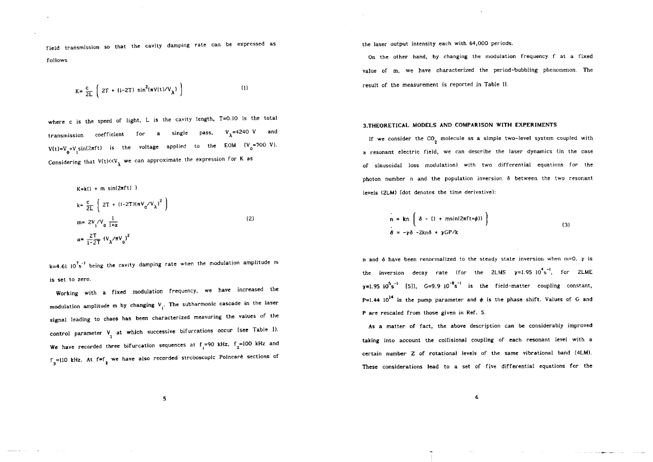field transmission so that the cavity damping rate can be expressed as follows

$$
K = \frac{c}{2L} \left( 2T + (1 - 2T) \sin^2(\pi V(t)/V_{\lambda}) \right)
$$
 (1)

where c is the speed of light, L is the cavity length, T=0.10 is the total transmission coefficient for a single pass,  $V_{\lambda}$ =4240 V and  $V(t)=V_0+V_1\sin(2\pi ft)$  is the voltage applied to the EOM  $(V_0=700 V)$ . **0 1** Considering that V(t)«V we can approximate the expression for K as

$$
K=k(1 + m \sin(2\pi ft))
$$
  
\n
$$
k = \frac{c}{2L} \left( 2T + (1-2T)(\pi V_0/V_{\lambda})^2 \right)
$$
  
\n
$$
m = 2V_1/V_0 \frac{1}{1+\alpha}
$$
  
\n
$$
\alpha = \frac{2T}{1-2T} (V_{\lambda}/\pi V_0)^2
$$
 (2)

k=4.61  $10^{7}$ s<sup>-1</sup> being the cavity damping rate when the modulation amplitude m is set to zero.

Working with a fixed modulation frequency, we have increased the modulation amplitude m by changing  $V_{\rm j}$ . The subharmonic cascade in the laser signal leading to chaos has been characterized measuring the values of the control parameter  $V_1$  at which successive bifurcations occur (see Table 1). We have recorded three bifurcation sequences at  $f_1 = 90$  kHz,  $f_2 = 100$  kHz and  $f_3$ =110 kHz. At  $f=f_2$  we have also recorded stroboscopic Poincare sections of the laser output intensity each with 64,000 periods.

On the other hand, by changing the modulation frequency f at a fixed value of m, we have characterized the period-bubbling phenomenon. The result of the measurement is reported in Table 11.

#### 3.THEORETICAL MODELS AND COMPARISON WITH EXPERIMENTS

If we consider the CO<sub>2</sub> molecule as a simple two-level system coupled with a resonant electric field, we can describe the laser dynamics (in the case of sinusoidal loss modulation) with two differential equations for the photon number n and the population inversion *S* between the two resonant levels (2LM) (dot denotes the time derivative):

$$
\overrightarrow{n} = kn \left( \delta - (1 + msin(2\pi ft + \phi)) \right)
$$
  

$$
\delta = -\gamma \delta - 2kn\delta + \gamma GP/k
$$
 (3)

n and *S* have been renormalized tD the steady state inversion when m=O, *f* is the inversion decay rate (for the 2LMS  $\gamma=1.95 \, 10^4 \, \text{s}^{-1}$ , for 2LME  $\gamma=1.95 \, 10^5 s^{-1}$  (5)), G=9.9  $10^{-8} s^{-1}$  is the field-matter coupling constant, P=1.44 10<sup>14</sup> is the pump parameter and  $\phi$  is the phase shift. Values of G and P are rescaled from those given in Ref. 5.

As a matter of fact, the above description can be considerably improved taking into account the collisional coupling of each resonant level with a certain number Z of rotational levels of the same vibrational band (4LM). These considerations lead to a set of five differential equations for the

6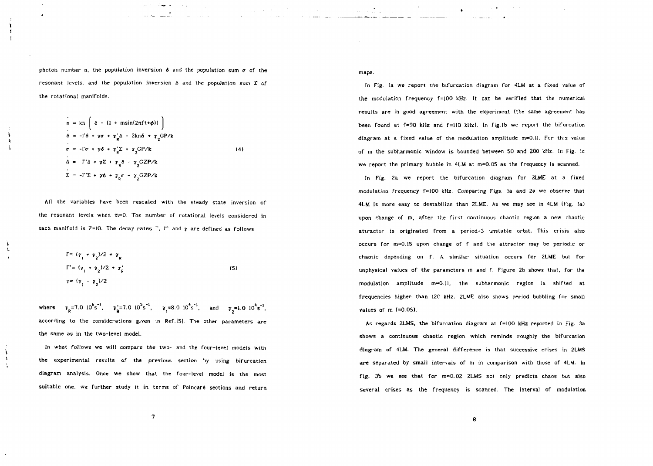photon number n, the population inversion  $\delta$  and the population sum  $\sigma$  of the resonant levels, and the population inversion  $\Delta$  and the population sum  $\Sigma$  of the rotational manifolds.

$$
\begin{aligned}\n\hat{\delta} &= \text{kn} \left( \delta - (1 + \text{msin}(2\pi f t + \phi)) \right) \\
\delta &= -\Gamma \delta + \gamma \sigma + \gamma_{\text{R}}^{\gamma} \Delta - 2 \text{kn} \delta + \gamma_{2} \text{GP}/k \\
\sigma &= -\Gamma \sigma + \gamma \delta + \gamma_{\text{R}}^{\gamma} \Sigma + \gamma_{2} \text{GP}/k \\
\Delta &= -\Gamma \Delta + \gamma \Sigma + \gamma_{\text{R}} \delta + \gamma_{2} \text{GZP}/k \\
\Sigma &= -\Gamma \Sigma + \gamma \Delta + \gamma_{\text{R}} \sigma + \gamma_{2} \text{GZP}/k\n\end{aligned}
$$

 $(4)$ 

All the variables have been rescaled with the steady state inversion of the resonant levels when m=0. The number of rotational levels considered in each manifold is  $Z=10$ . The decay rates  $\Gamma$ ,  $\Gamma'$  and  $\gamma$  are defined as follows

$$
\Gamma = (\gamma_1 + \gamma_2)/2 + \gamma_R
$$
  
\n
$$
\Gamma = (\gamma_1 + \gamma_2)/2 + \gamma_R'
$$
  
\n
$$
\gamma = (\gamma_1 - \gamma_2)/2
$$
 (5)

where  $\gamma_{\rm g}$ =7.0 10<sup>6</sup>s<sup>-1</sup>,  $\gamma_{\rm g}$ =7.0 10<sup>5</sup>s<sup>-1</sup>,  $\gamma_{\rm g}$ =8.0 10<sup>4</sup>s<sup>-1</sup>, and  $\gamma_{\rm g}$ =1.0 10<sup>4</sup>s<sup>-1</sup>, according to the considerations given in Ref.151. The other parameters are the same as in the two-level model.

In what follows we will compare the two- and the four-level models with the experimental results of the previous section by using bifurcation diagram analysis. Once we show that the four-level model is the most suitable one, we further study it in terms of Poincaré sections and return

 $\mathbf{L}$ 

maps.

In Fig. la we report the bifurcation diagram for 4LM at a fixed value of the modulation frequency  $f=100$  kHz. It can be verified that the numerical results are in good agreement with the experiment (the same agreement has been found at f=90 kHz and f=110 kHz). In fig.lb we report the bifurcation diagram at a fixed value of the modulation amplitude m=0.11. For this value of m the subharmonic window is bounded between 50 and 200 kHz. In Fig. lc we report the primary bubble in 4LM at m=0.05 as the frequency is scanned.

In Fig. 2a we report the bifurcation diagram for 2LME at a fixed modulation frequency f=]00 kHz. Comparing Figs. !a and 2a we observe that 4LM is more easy to destabilize than 2LME. As we may see in 4LM (Fig. !a) upon change of m, after the first continuous chaotic region a new chaotic attractor is originated from a period-3 unstable orbit. This crisis also occurs for  $m \approx 0.15$  upon change of f and the attractor may be periodic or chaotic depending on f, A similar situation occurs for 2LME but for unphysical values of the parameters m and f. Figure 2b shows that, for the modulation amplitude m=0.11, the subharmonic region is shifted at frequencies higher than 120 kHz. 2LME also shows period bubbling for small values of m (\*0.05).

As regards 2LMS, the bifurcation diagram at f=100 kHz reported in Fig. 3a shows a continuous chaotic region which reminds roughly the bifurcation diagram of 4L.M. The general difference is that successive crises in 2LMS are separated by small intervals of m in comparison with those of 4LM. In fig. 3b we see that for m=0.02 ELMS not only predicts chaos but also several crises as the frequency is scanned. The interval of modulation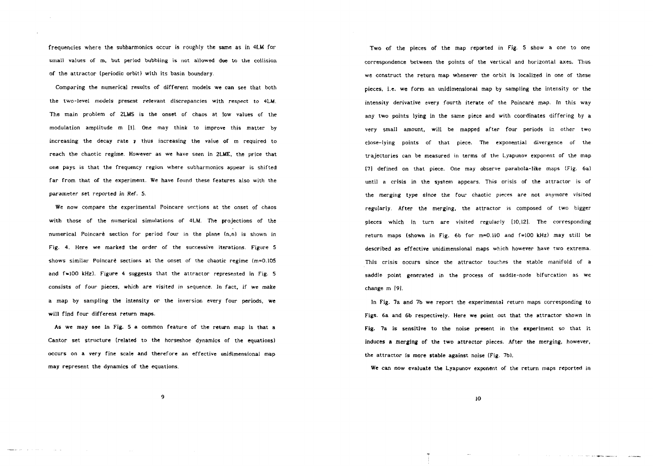frequencies where the subharmonics occur is roughly the same as in 4LM for small values of m, but period bubbling is not allowed doe to the collision of the attractor (periodic orbit) with its basin boundary.

Comparing the numerical results of different models we can see that both the two-level models present relevant discrepancies with respect to 4LM. The main problem of 2LMS is the onset of chaos at low values of the modulation amplitude m [1]. One may think to improve this matter by increasing the decay rate  $\gamma$  thus increasing the value of m required to reach the chaotic regime. However as we have seen in 2LME, the price that one pays is that the frequency region where subharmonics appear is shifted far from that of the experiment. We have found these features also with the parameter set reported in Ref. 5.

We now compare the experimental Poincare sections at the onset of chaos with those of the numerical simulations of 4LM The projections of the numerical Poincare section for period four in the plane (n,n) is shown in Fig. 4. Here we marked the order of the successive iterations. Figure S shows similar Poincare sections at the onset of the chaotic regime (m=O.lOS and f=100 kHz). Figure 4 suggests that the attractor represented in Fig. 5 consists of four pieces, which are visited in sequence. In fact, if we make a map by sampling the intensity or the inversion every four periods, we will find four different return maps.

As we may see In Fig. 5 a common feature of the return map is that a Cantor set structure (related to the horseshoe dynamics of the equations) occurs on a very fine scale and therefore an effective unidimensional map may represent the dynamics of the equations.

Two of the pieces of the map reported in Fig. 5 show a one to one correspondence between the points of the vertical and horizontal axes. Thus we construct the return map whenever the orbit is localized in one of these pieces, I.e. we form an unidimensional map by sampling the intensity or the intensity derivative every fourth iterate of the Poincare map. In this way any two points lying in the same piece and with coordinates differing by a very small amount, will be mapped after four periods in other two close-lying points of that piece. The exponential divergence of the trajectories can be measured in terms of the Lyapunov exponent of the map !7] defined on that piece. One may observe parabola-like maps (Fig. 6a) until a crisis in the system appears. This crisis of the attractor is of the merging type since the four chaotic pieces are not anymore visited regularly. After the merging, the attractor is composed of two bigger pieces which in turn are visited regularly [10,121. The corresponding return maps (shown in Fig. 6b for m=0.110 and f=100 kHz) may still be described as effective unidimensional maps which however have two extrema. This crisis occurs since the attractor touches the stable manifold of a saddle point generated in the process of saddle-node bifurcation as we change m |9I.

In Fig. 7a and 7b we report the experimental return maps corresponding to Figs. 6a and 6b respectively. Here we point out that the attractor shown in Fig. 7a is sensitive to the noise present in the experiment so that it induces a merging of the two attractor pieces. After the merging, however, the attractor is more stable against noise (Fig. 7b).

We can now evaluate the Lyapunov exponent of the return maps reported in

9

10

the contract of the contract of the second contract of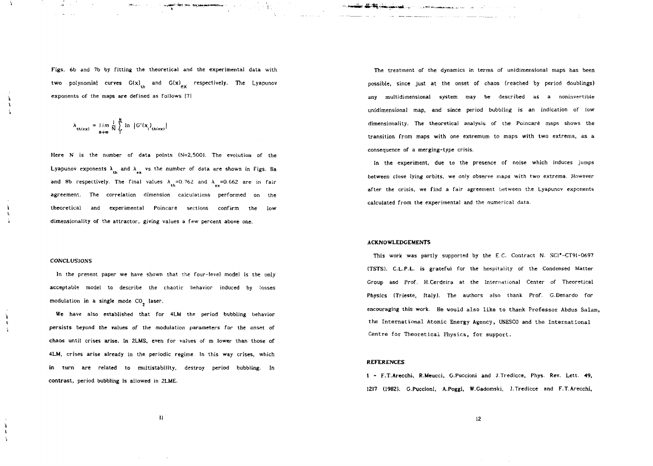Figs. 6b and 7b by fitting the theoretical and the experimental data with two polynomial curves G(x)<sub>th</sub> and G(x)<sub>ex</sub> respectively. The Lyapunov exponents of the maps are defined as follows [71

 $\lambda$ <sub>th(ex)</sub> = lim  $\frac{1}{N} \sum_{n=1}^{N} \ln |G'(x)|$ 

Here N is the number of data points  $(N=2,500)$ . The evolution of the Lyapunov exponents  $\lambda_{\mu}$  and  $\lambda_{\mu}$  vs the number of data are shown in Figs. 8a and 8b respectively. The final values  $\lambda_{\text{th}} = 0.762$  and  $\lambda_{\text{ex}} = 0.662$  are in fair agreement. The correlation dimension calculations performed on the theoretical and experimental Poincare sections confirm the low dimensionality of the attractor, giving values a few percent above one.

#### **CONCLUSIONS**

- 1

In the present paper we have shown that the four-level model is the only acceptable model to describe the chaotic behavior induced by losses modulation in a single mode CO<sub>2</sub> laser.

We have also established that for 4LM the period bubbling behavior persists beyond the values of the modulation parameters For the onset of chaos until crises arise. In ZLMS. even for values of m lower than those of 4LM, crises arise already in the periodic regime In this way crises, which in turn are related to multistability, destroy period bubbling. In contrast, period bubbling is allowed in 2LME.

 $\mathbf{H}$ 

The treatment of the dynamics in terms of unidimensional maps has been possible, since just at the onset of chaos (reached by period doublings) any multidimensional system may be described as a noninvertible unidimensional map, and since period bubbling is an indication of low dimensionality. The theoretical analysis of the Poincare maps shows the transition from maps with one extremum to maps with two extrema, as a consequence of a merging-type crisis.

In the experiment, due to the presence of noise which induces jumps between close lying orbits, we only observe maps with two extrema. However after the crisis, we find a fair agreement between the Lyapunov exponents calculated from the experimental and the numerical data.

#### ACKNOWLEDGEMENTS

This work was partly supported by the EC. Contract N. SC1\*-CT91-O697 (TSTS), CL.P.L. is grateful for the hospitality of the Condensed Matter Croup and Prof. H.Cerdeira at the International Center of Theoretical Physics ITrieste, Italy). The authors also thank Prof. C.Denardo for encouraging this work. He would also like to thank Professor Abdus Salam, the International Atomic Energy Agency, UNESCO and the International Centre for Theoretical Physics, for support.

#### **REFERENCES**

**1** - F.T.Areechi, R.Meucci, G.Puccioni and J.Tredicce, Phys. Rev. Lett. 49, 1217 (1982). G.Puccioni, A.Poggi, W.Cadomski, J.Tredicce and F.T.Arecchi,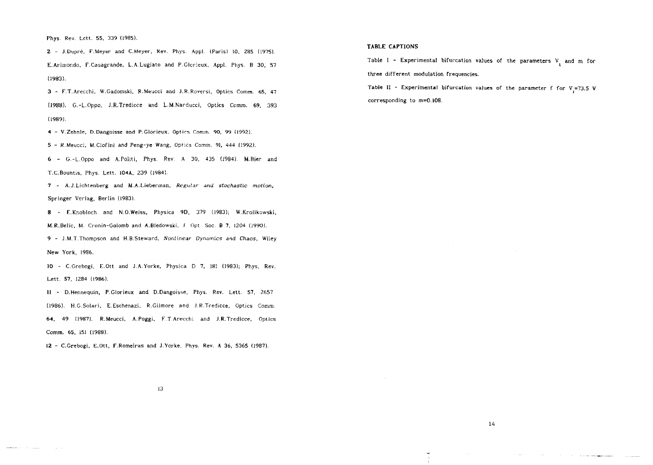Phys. Rev. Lett. 55, 339 (1985).

*Z -* J.Dupre, F.Meyer and C.Meyer, Rev. Phys. Appl- (Paris) 10, 285 (1975). E.Arimondo, F.Casagrande, L.ALugiato and P.CIorieux, Appl. Phys. B 30, 57 (1983).

3 - F.T.Arecchi, W.Gadomski, R.Meucci and J.R.Roversi, Optics Comm. 65, 47 **(1988).** G.-L.Oppo, J.R.Tredicce and L.M.Narducci, Optics Comm. 69, 393 (1989).

4 - V.Zehnle, D.Dangoisse and P.CIorieux, Optics Comm. 90, 99 11992).

5 - R.Meucci, M.Ciofini and Peng-ye Wang, Optics Comm. 91, 444 (1992).

6 - G.-L.Oppo and A.Politi, Phys, Rev, A 30. 435 (1984). M.Bier and T.C.Bountis, Phys. Lett. **104A,** 239 (1984).

7 - A.J.Lichtenberg and M, A.Lieberman, Regular and *stochastic motion,* Springer Verlag, Berlin (1983).

3 - E.Knobloch and N.O.Weiss, Physica 9D, 379 (1983); W.Krolikowski, M.R.Belie, M. Cronin-Golomb and A.BIedowski, I- Opt, Soc. B 7. 1204 (1990).

9 - J.M.T.Thompson and H.B.Steward, *Nonlinear Dynamics and* Chaos, Wiley New York, 1986.

10 - C.Crebogi, E.Ott and J.A.Yorke, Physica D 7, 181 (1983); Phys, Rev. Lett. 57, 1284 (1986).

11 - D.Hennequin, P.Glorieux and D.Dangoisse, Phys. Rev. Lett. 57, 2657 (1986). H.G.Solari, E.Eschenazi, R.Gilmore and J.R.Tredicce, Optics Comm. 64. 49 (1987). R.Meucci, A.Poggi, F.TArecchi and J.R.Tredicce, Optics Comm. 65, 151 (1988).

12 - C.Grebogi, E.Ott, F.Romeiras and J.Yorke. Phys. Rev. A 36, 5365 (1987).

#### **TABLE CAPTIONS**

Table I - Experimental bifurcation values of the parameters  $V_i$  and m for three different modulation frequencies.

Table II - Experimental bifurcation values of the parameter f for  $V_1$ =73.5 V corresponding to **m=0.108.**

14

and the contract of the contract components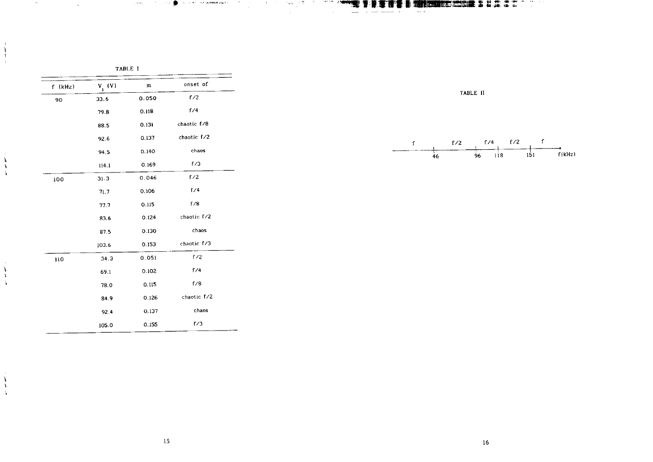TABLE 1 f (kHz) 90 **(V)** 33.6 79.8 88.5 92.6 94.5 114.1 **m** O.OSO 0.1)8 0.131 0.137 0.140 0.169 onset of f/2 f/4 chaotic f/8 chaotic f/2 chaos f/3 **100** 31.3 71.7 77.7 83.6 87.5 103.6 0.046 0.106 0.115 0.124 0.130 0.153 f/2 f/4 f/8 chaotic f/2 chaos chaotic f/3 **110** 34.3 69.1 78.0 84.9 92.4 0.051 0.102 0.115 0.126 0.137 f/2 f/4 f/8 chaotic f/2 chaos

o andij

 $\bullet$ 

 $\sim 10^{-10}$   $\rm{J}$ 

 $\alpha_{\rm{eff}}$  ,  $\alpha_{\rm{eff}}$  and  $\alpha_{\rm{eff}}$  and the particles of  $\alpha_{\rm{eff}}$ 

 $\epsilon$ 

0.155

f/3

105.0

 $\epsilon_{\rm f}$ 

 $\frac{1}{2} \left( \frac{1}{2} \right) \frac{1}{2} \left( \frac{1}{2} \right)$ 

 $\sim$  $\begin{array}{c} \mathbf{k} \\ \mathbf{k} \\ \mathbf{l} \end{array}$ 

 $\begin{array}{c} \mathbf{1} \\ \mathbf{1} \\ \mathbf{1} \end{array}$ 

 $\begin{array}{c} \frac{1}{2} \\ \frac{1}{2} \\ \frac{1}{2} \end{array}$ 

 $\mathcal{A}^{\mathcal{A}}$ 

**TABLE II**

**INTERNATIONAL SECOND CONTRACTS** 

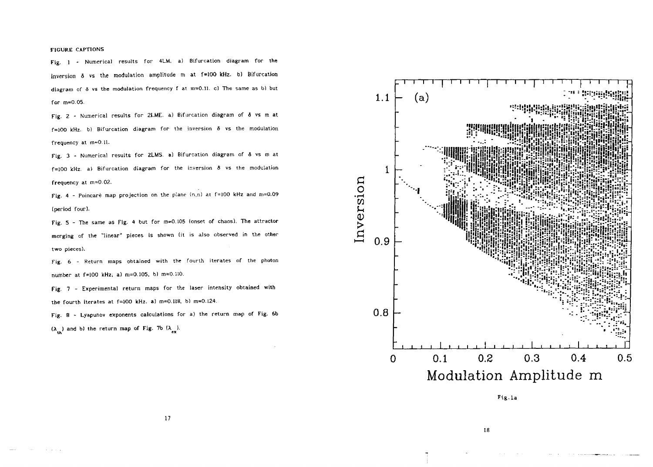#### FIGURE CAPTIONS

Fig. 1 - Numerical results for 4LM. a) Bifurcation diagram for the inversion 6 vs the modulation amplitude m at f=100 kHz. b) Bifurcation diagram of  $\delta$  vs the modulation frequency f at m=0.11. c) The same as b) but for m=0.05.

Fig. 2 - Numerical results for 2LME. a) Bifurcation diagram of  $\delta$  vs m at  $f=100$  kHz. b) Bifurcation diagram for the inversion  $\delta$  vs the modulation frequency at m=0.11.

Fig.  $3$  - Numerical results for 2LMS. a) Bifurcation diagram of  $\delta$  vs m at f=100 kHz, a) Bifurcation diagram for the inversion *S* vs the modulation frequency at  $m=0.02$ .

Fig. 4 - Foincare map projection on the plane (n,n) at f=100 kHz and m=0.09 (period four).

Fig. 5 - The same as Fig. 4 but for m=0.105 {onset of chaos). The attractor merging of the "linear" pieces is shown (it is also observed in the other two pieces).

Fig. 6 - Return maps obtained with the fourth iterates of the photon number at f\*100 kHz, a) m=0.105, b) m=0.H0.

**Fig.** 7 - Experimental return maps for the laser intensity obtained with the fourth iterates at f=100 kHz. a) m=0,l!8, b) m=0.124.

Fig. 8 - Lyapunov exponents calculations for a) the return map of Fig. 6b

 $(\lambda_{11})$  and b) the return map of Fig. 7b  $(\lambda_{12})$ .



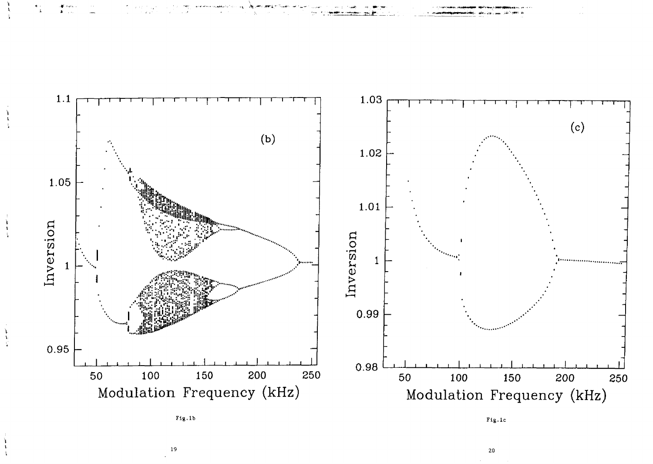



 $Fig.1c$ 

19

 ${\bf 20}$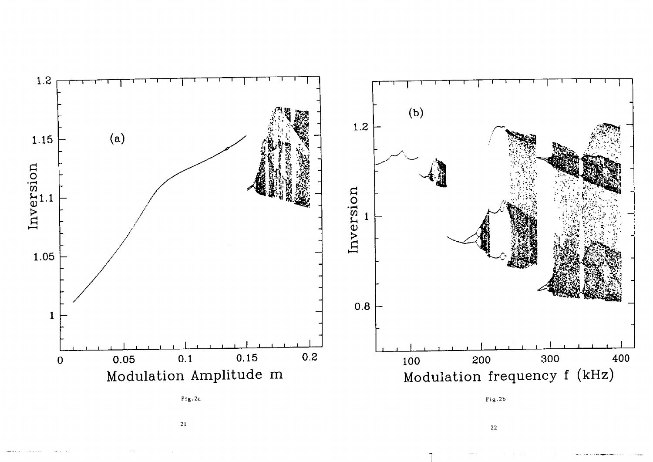



 $\bar{z}$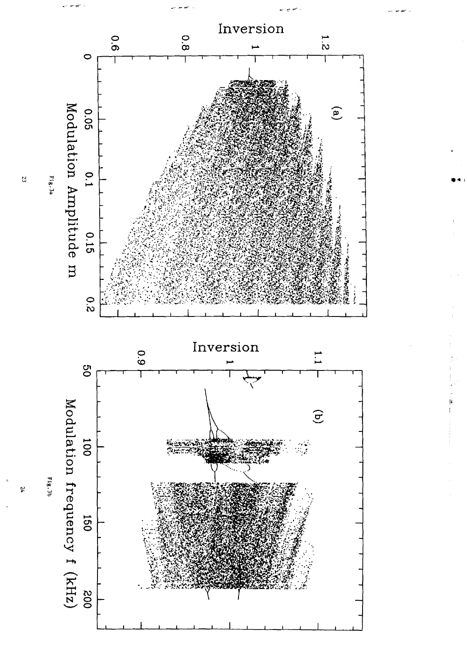

 $\overline{\omega}$ 

ž,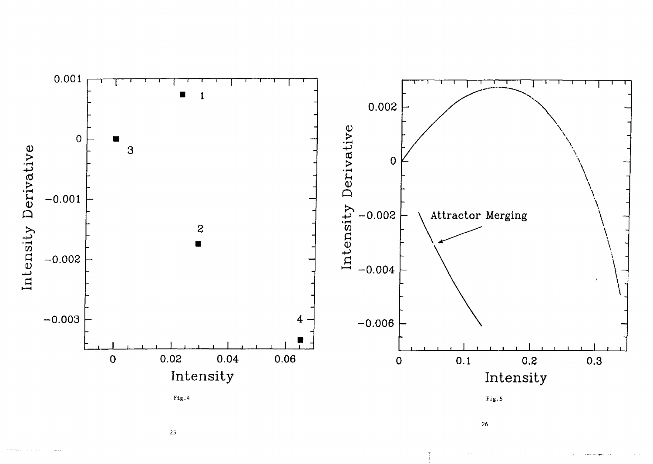

**25**

 $\sim$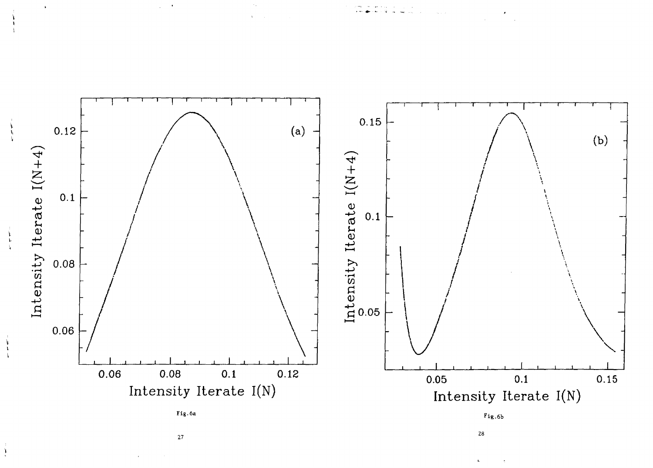

27

 $\mathbf{1}$ 

 $\ddot{\phantom{a}}$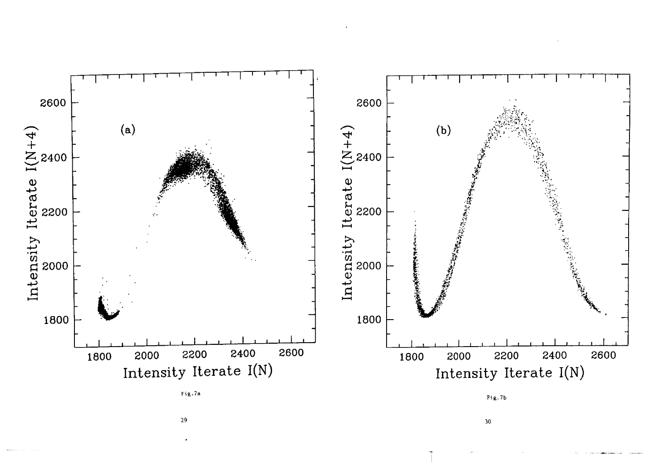

29

 $30\,$